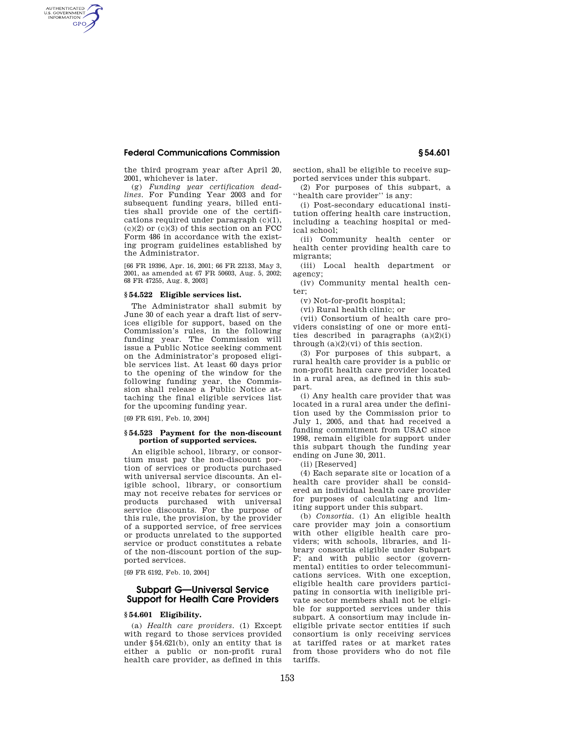## **Federal Communications Commission § 54.601**

AUTHENTICATED<br>U.S. GOVERNMENT<br>INFORMATION **GPO** 

> the third program year after April 20, 2001, whichever is later.

(g) *Funding year certification deadlines.* For Funding Year 2003 and for subsequent funding years, billed entities shall provide one of the certifications required under paragraph (c)(1),  $(c)(2)$  or  $(c)(3)$  of this section on an FCC Form 486 in accordance with the existing program guidelines established by the Administrator.

[66 FR 19396, Apr. 16, 2001; 66 FR 22133, May 3, 2001, as amended at 67 FR 50603, Aug. 5, 2002; 68 FR 47255, Aug. 8, 2003]

#### **§ 54.522 Eligible services list.**

The Administrator shall submit by June 30 of each year a draft list of services eligible for support, based on the Commission's rules, in the following funding year. The Commission will issue a Public Notice seeking comment on the Administrator's proposed eligible services list. At least 60 days prior to the opening of the window for the following funding year, the Commission shall release a Public Notice attaching the final eligible services list for the upcoming funding year.

[69 FR 6191, Feb. 10, 2004]

#### **§ 54.523 Payment for the non-discount portion of supported services.**

An eligible school, library, or consortium must pay the non-discount portion of services or products purchased with universal service discounts. An eligible school, library, or consortium may not receive rebates for services or products purchased with universal service discounts. For the purpose of this rule, the provision, by the provider of a supported service, of free services or products unrelated to the supported service or product constitutes a rebate of the non-discount portion of the supported services.

[69 FR 6192, Feb. 10, 2004]

# **Subpart G—Universal Service Support for Health Care Providers**

### **§ 54.601 Eligibility.**

(a) *Health care providers.* (1) Except with regard to those services provided under §54.621(b), only an entity that is either a public or non-profit rural health care provider, as defined in this section, shall be eligible to receive supported services under this subpart.

(2) For purposes of this subpart, a ''health care provider'' is any:

(i) Post-secondary educational institution offering health care instruction, including a teaching hospital or medical school;

(ii) Community health center or health center providing health care to migrants;

(iii) Local health department or agency;

(iv) Community mental health center;

(v) Not-for-profit hospital;

(vi) Rural health clinic; or

(vii) Consortium of health care providers consisting of one or more entities described in paragraphs (a)(2)(i) through  $(a)(2)(vi)$  of this section.

(3) For purposes of this subpart, a rural health care provider is a public or non-profit health care provider located in a rural area, as defined in this subpart.

(i) Any health care provider that was located in a rural area under the definition used by the Commission prior to July 1, 2005, and that had received a funding commitment from USAC since 1998, remain eligible for support under this subpart though the funding year ending on June 30, 2011.

(ii) [Reserved]

(4) Each separate site or location of a health care provider shall be considered an individual health care provider for purposes of calculating and limiting support under this subpart.

(b) *Consortia.* (1) An eligible health care provider may join a consortium with other eligible health care providers; with schools, libraries, and library consortia eligible under Subpart F; and with public sector (governmental) entities to order telecommunications services. With one exception, eligible health care providers participating in consortia with ineligible private sector members shall not be eligible for supported services under this subpart. A consortium may include ineligible private sector entities if such consortium is only receiving services at tariffed rates or at market rates from those providers who do not file tariffs.